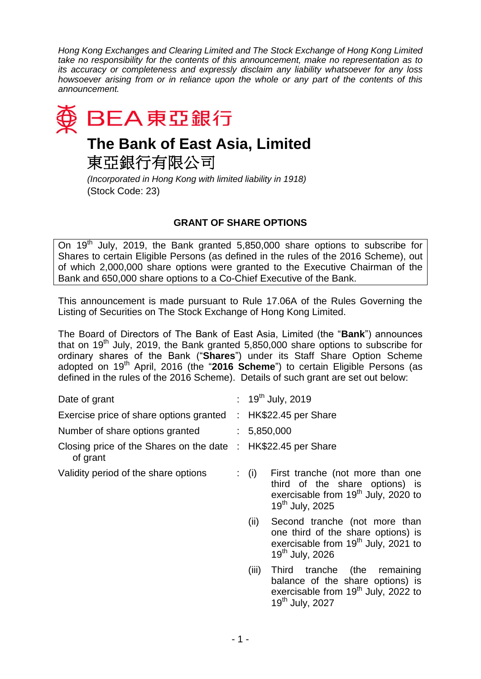*Hong Kong Exchanges and Clearing Limited and The Stock Exchange of Hong Kong Limited take no responsibility for the contents of this announcement, make no representation as to its accuracy or completeness and expressly disclaim any liability whatsoever for any loss howsoever arising from or in reliance upon the whole or any part of the contents of this announcement.*



東亞銀行有限公司

*(Incorporated in Hong Kong with limited liability in 1918)* (Stock Code: 23)

## **GRANT OF SHARE OPTIONS**

On 19<sup>th</sup> July, 2019, the Bank granted 5,850,000 share options to subscribe for Shares to certain Eligible Persons (as defined in the rules of the 2016 Scheme), out of which 2,000,000 share options were granted to the Executive Chairman of the Bank and 650,000 share options to a Co-Chief Executive of the Bank.

This announcement is made pursuant to Rule 17.06A of the Rules Governing the Listing of Securities on The Stock Exchange of Hong Kong Limited.

The Board of Directors of The Bank of East Asia, Limited (the "**Bank**") announces that on 19<sup>th</sup> July, 2019, the Bank granted 5,850,000 share options to subscribe for ordinary shares of the Bank ("**Shares**") under its Staff Share Option Scheme adopted on 19<sup>th</sup> April, 2016 (the "2016 Scheme") to certain Eligible Persons (as defined in the rules of the 2016 Scheme). Details of such grant are set out below:

| Date of grant                                         | : $19^{th}$ July, 2019                                                                                                                                        |
|-------------------------------------------------------|---------------------------------------------------------------------------------------------------------------------------------------------------------------|
| Exercise price of share options granted               | : $HK$22.45$ per Share                                                                                                                                        |
| Number of share options granted                       | : 5,850,000                                                                                                                                                   |
| Closing price of the Shares on the date :<br>of grant | HK\$22.45 per Share                                                                                                                                           |
| Validity period of the share options                  | First tranche (not more than one<br>$\colon$ (i)<br>third of the share options) is<br>exercisable from $19^{th}$ July, 2020 to<br>19 <sup>th</sup> July, 2025 |
|                                                       | Second tranche (not more than<br>(ii)<br>one third of the share options) is<br>exercisable from 19 <sup>th</sup> July, 2021 to<br>19 <sup>th</sup> July, 2026 |
|                                                       | Third tranche<br>(iii)<br>(the<br>remaining<br>balance of the share options) is<br>exercisable from $19th$ July, 2022 to<br>19 <sup>th</sup> July, 2027       |